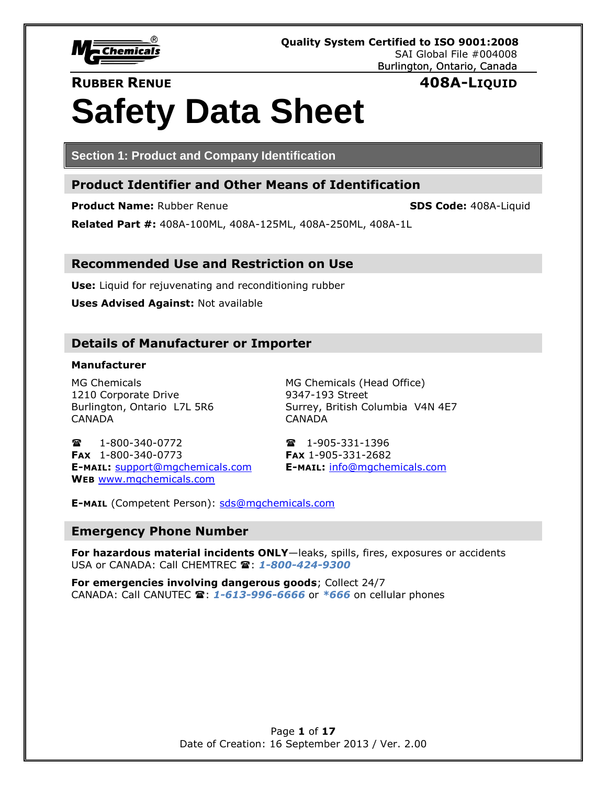

# **RUBBER RENUE 408A-LIQUID**

# **Safety Data Sheet**

**Section 1: Product and Company Identification**

# **Product Identifier and Other Means of Identification**

**Product Name:** Rubber Renue **SDS Code:** 408A-Liquid

**Related Part #:** 408A-100ML, 408A-125ML, 408A-250ML, 408A-1L

# **Recommended Use and Restriction on Use**

**Use:** Liquid for rejuvenating and reconditioning rubber

**Uses Advised Against:** Not available

# **Details of Manufacturer or Importer**

# **Manufacturer**

1210 Corporate Drive 9347-193 Street CANADA CANADA

MG Chemicals MG Chemicals (Head Office) Burlington, Ontario L7L 5R6 Surrey, British Columbia V4N 4E7

**雷 1-800-340-0772 1-905-331-1396 FAX** 1-800-340-0773 **FAX** 1-905-331-2682 **E-MAIL:** [support@mgchemicals.com](mailto:support@mgchemicals.com) **E-MAIL:** [info@mgchemicals.com](mailto:info@mgchemicals.com) **WEB** [www.mgchemicals.com](http://www.mgchemicals.com/)

**E-MAIL** (Competent Person): [sds@mgchemicals.com](mailto:sds@mgchemicals.com)

# **Emergency Phone Number**

**For hazardous material incidents ONLY**—leaks, spills, fires, exposures or accidents USA or CANADA: Call CHEMTREC **雷: 1-800-424-9300** 

**For emergencies involving dangerous goods**; Collect 24/7 CANADA: Call CANUTEC : *1-613-996-6666* or *\*666* on cellular phones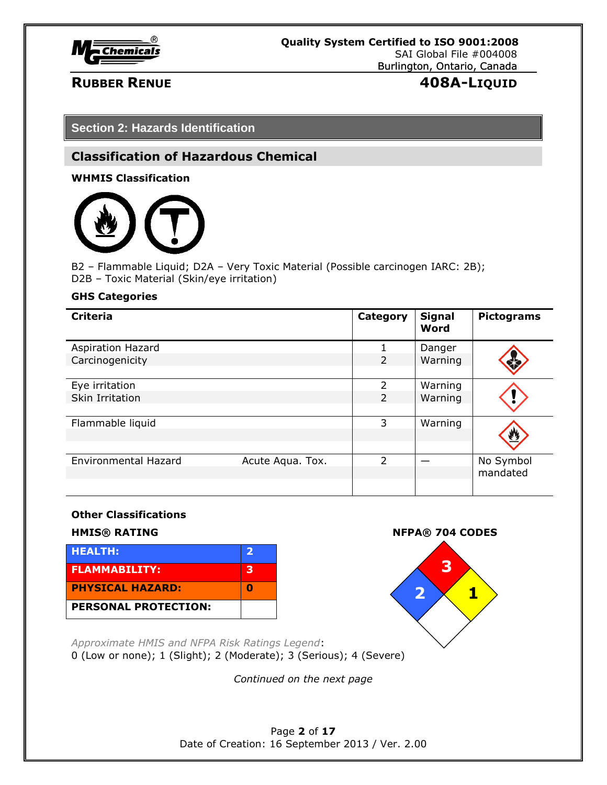

# **RUBBER RENUE 408A-LIQUID**

**Section 2: Hazards Identification**

# **Classification of Hazardous Chemical**

**WHMIS Classification**



B2 – Flammable Liquid; D2A – Very Toxic Material (Possible carcinogen IARC: 2B); D2B – Toxic Material (Skin/eye irritation)

# **GHS Categories**

| <b>Criteria</b>             |                  | Category                 | <b>Signal</b><br>Word | <b>Pictograms</b> |
|-----------------------------|------------------|--------------------------|-----------------------|-------------------|
| <b>Aspiration Hazard</b>    |                  |                          | Danger                |                   |
| Carcinogenicity             |                  | $\overline{2}$           | Warning               |                   |
|                             |                  |                          |                       |                   |
| Eye irritation              |                  | $\overline{\phantom{a}}$ | Warning               |                   |
| Skin Irritation             |                  | 2                        | Warning               |                   |
|                             |                  |                          |                       |                   |
| Flammable liquid            |                  | 3                        | Warning               |                   |
|                             |                  |                          |                       |                   |
|                             |                  |                          |                       |                   |
| <b>Environmental Hazard</b> | Acute Aqua. Tox. | $\overline{\phantom{a}}$ |                       | No Symbol         |
|                             |                  |                          |                       | mandated          |
|                             |                  |                          |                       |                   |

# **Other Classifications**







*Approximate HMIS and NFPA Risk Ratings Legend*: 0 (Low or none); 1 (Slight); 2 (Moderate); 3 (Serious); 4 (Severe)

*Continued on the next page*

Page **2** of **17** Date of Creation: 16 September 2013 / Ver. 2.00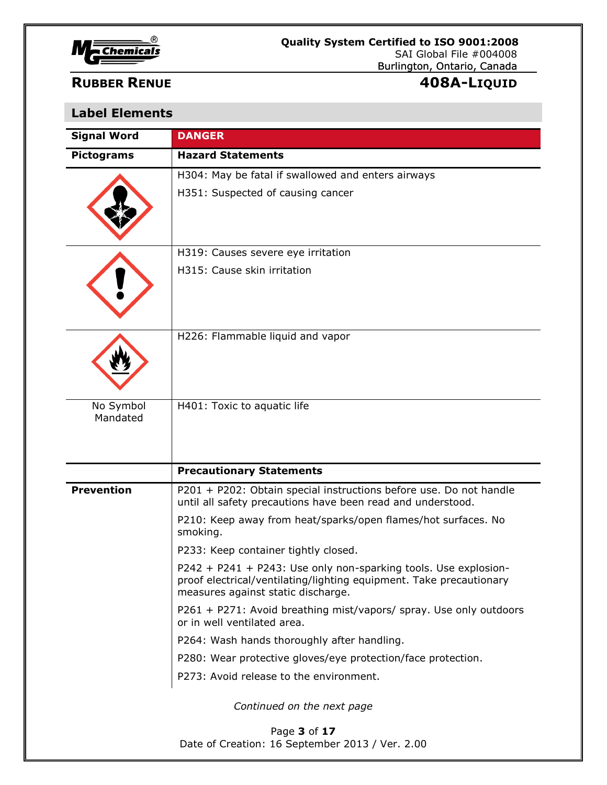

| <b>Signal Word</b>    | <b>DANGER</b>                                                                                                                                                                |
|-----------------------|------------------------------------------------------------------------------------------------------------------------------------------------------------------------------|
| <b>Pictograms</b>     | <b>Hazard Statements</b>                                                                                                                                                     |
|                       | H304: May be fatal if swallowed and enters airways                                                                                                                           |
|                       | H351: Suspected of causing cancer                                                                                                                                            |
|                       | H319: Causes severe eye irritation                                                                                                                                           |
|                       | H315: Cause skin irritation                                                                                                                                                  |
|                       | H226: Flammable liquid and vapor                                                                                                                                             |
| No Symbol<br>Mandated | H401: Toxic to aquatic life                                                                                                                                                  |
|                       | <b>Precautionary Statements</b>                                                                                                                                              |
| <b>Prevention</b>     | P201 + P202: Obtain special instructions before use. Do not handle<br>until all safety precautions have been read and understood.                                            |
|                       | P210: Keep away from heat/sparks/open flames/hot surfaces. No<br>smoking.                                                                                                    |
|                       | P233: Keep container tightly closed.                                                                                                                                         |
|                       | P242 + P241 + P243: Use only non-sparking tools. Use explosion-<br>proof electrical/ventilating/lighting equipment. Take precautionary<br>measures against static discharge. |
|                       | P261 + P271: Avoid breathing mist/vapors/ spray. Use only outdoors<br>or in well ventilated area.                                                                            |
|                       | P264: Wash hands thoroughly after handling.                                                                                                                                  |
|                       | P280: Wear protective gloves/eye protection/face protection.                                                                                                                 |
|                       | P273: Avoid release to the environment.                                                                                                                                      |
|                       | Continued on the next page                                                                                                                                                   |
|                       | Page 3 of 17<br>Date of Creation: 16 September 2013 / Ver. 2.00                                                                                                              |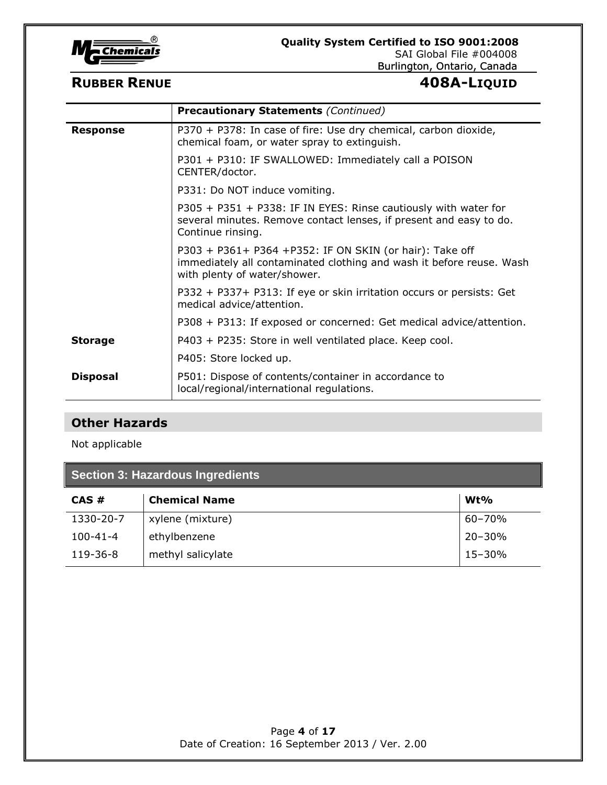

# Burlington, Ontario, Canada

# **RUBBER RENUE 408A-LIQUID**

|                 | <b>Precautionary Statements (Continued)</b>                                                                                                                     |
|-----------------|-----------------------------------------------------------------------------------------------------------------------------------------------------------------|
| <b>Response</b> | P370 + P378: In case of fire: Use dry chemical, carbon dioxide,<br>chemical foam, or water spray to extinguish.                                                 |
|                 | P301 + P310: IF SWALLOWED: Immediately call a POISON<br>CENTER/doctor.                                                                                          |
|                 | P331: Do NOT induce vomiting.                                                                                                                                   |
|                 | P305 + P351 + P338: IF IN EYES: Rinse cautiously with water for<br>several minutes. Remove contact lenses, if present and easy to do.<br>Continue rinsing.      |
|                 | P303 + P361+ P364 +P352: IF ON SKIN (or hair): Take off<br>immediately all contaminated clothing and wash it before reuse. Wash<br>with plenty of water/shower. |
|                 | P332 + P337+ P313: If eye or skin irritation occurs or persists: Get<br>medical advice/attention.                                                               |
|                 | P308 + P313: If exposed or concerned: Get medical advice/attention.                                                                                             |
| <b>Storage</b>  | P403 + P235: Store in well ventilated place. Keep cool.                                                                                                         |
|                 | P405: Store locked up.                                                                                                                                          |
| <b>Disposal</b> | P501: Dispose of contents/container in accordance to<br>local/regional/international regulations.                                                               |

# **Other Hazards**

Not applicable

| Section 3: Hazardous Ingredients |                      |            |
|----------------------------------|----------------------|------------|
| CAS#                             | <b>Chemical Name</b> | $Wt\%$     |
| 1330-20-7                        | xylene (mixture)     | $60 - 70%$ |
| $100 - 41 - 4$                   | ethylbenzene         | $20 - 30%$ |
| 119-36-8                         | methyl salicylate    | 15-30%     |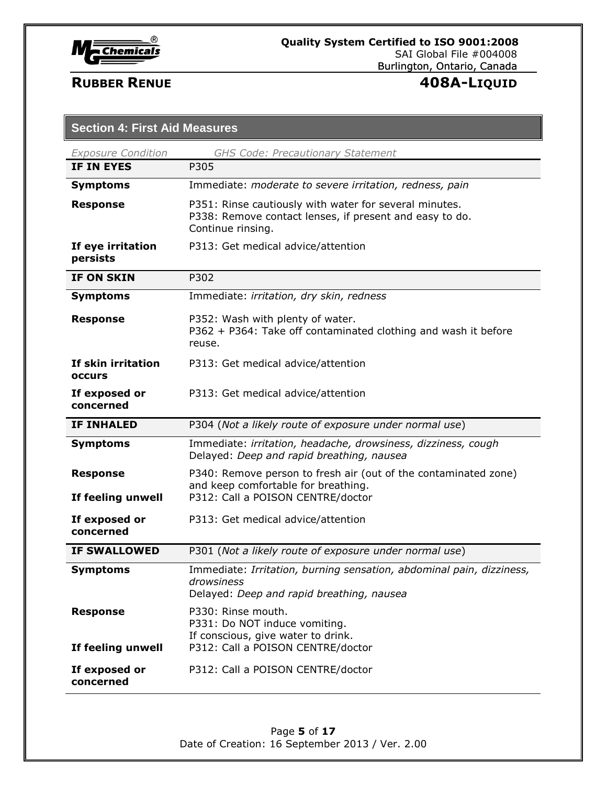

| <b>Exposure Condition</b>            | <b>GHS Code: Precautionary Statement</b>                                                                                               |
|--------------------------------------|----------------------------------------------------------------------------------------------------------------------------------------|
| <b>IF IN EYES</b>                    | P305                                                                                                                                   |
| <b>Symptoms</b>                      | Immediate: moderate to severe irritation, redness, pain                                                                                |
| <b>Response</b>                      | P351: Rinse cautiously with water for several minutes.<br>P338: Remove contact lenses, if present and easy to do.<br>Continue rinsing. |
| If eye irritation<br>persists        | P313: Get medical advice/attention                                                                                                     |
| <b>IF ON SKIN</b>                    | P302                                                                                                                                   |
| <b>Symptoms</b>                      | Immediate: irritation, dry skin, redness                                                                                               |
| <b>Response</b>                      | P352: Wash with plenty of water.<br>P362 + P364: Take off contaminated clothing and wash it before<br>reuse.                           |
| If skin irritation<br><b>OCCULS</b>  | P313: Get medical advice/attention                                                                                                     |
| If exposed or<br>concerned           | P313: Get medical advice/attention                                                                                                     |
|                                      |                                                                                                                                        |
| <b>IF INHALED</b>                    | P304 (Not a likely route of exposure under normal use)                                                                                 |
| <b>Symptoms</b>                      | Immediate: irritation, headache, drowsiness, dizziness, cough<br>Delayed: Deep and rapid breathing, nausea                             |
| <b>Response</b>                      | P340: Remove person to fresh air (out of the contaminated zone)<br>and keep comfortable for breathing.                                 |
| If feeling unwell                    | P312: Call a POISON CENTRE/doctor                                                                                                      |
| If exposed or<br>concerned           | P313: Get medical advice/attention                                                                                                     |
| <b>IF SWALLOWED</b>                  | P301 (Not a likely route of exposure under normal use)                                                                                 |
| <b>Symptoms</b>                      | Immediate: Irritation, burning sensation, abdominal pain, dizziness,<br>drowsiness<br>Delayed: Deep and rapid breathing, nausea        |
| <b>Response</b><br>If feeling unwell | P330: Rinse mouth.<br>P331: Do NOT induce vomiting.<br>If conscious, give water to drink.<br>P312: Call a POISON CENTRE/doctor         |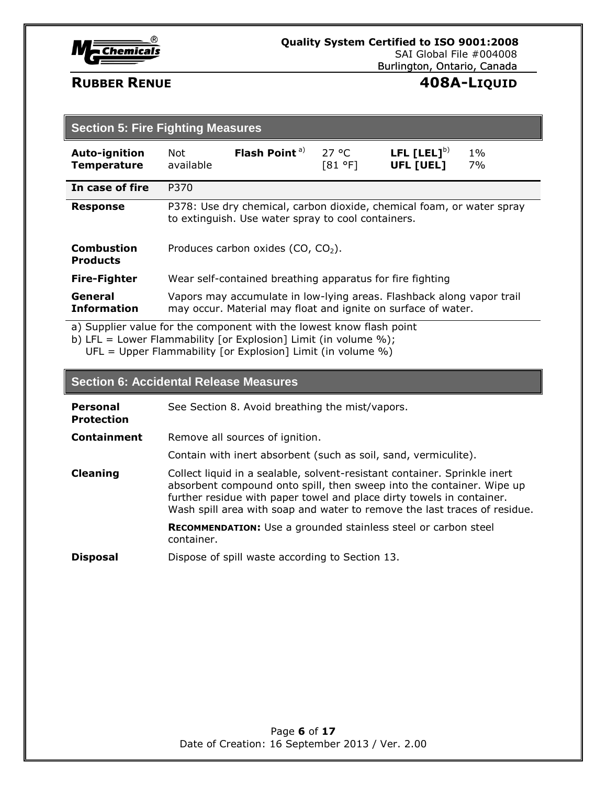

| <b>Section 5: Fire Fighting Measures</b>   |                                                                                                                             |                                                                                                                                        |                  |                               |             |
|--------------------------------------------|-----------------------------------------------------------------------------------------------------------------------------|----------------------------------------------------------------------------------------------------------------------------------------|------------------|-------------------------------|-------------|
| <b>Auto-ignition</b><br><b>Temperature</b> | Not<br>available                                                                                                            | Flash Point <sup>a)</sup>                                                                                                              | 27 °C<br>[81 °F] | LFL $[LEL]^{b)}$<br>UFL [UEL] | $1\%$<br>7% |
| In case of fire                            | P370                                                                                                                        |                                                                                                                                        |                  |                               |             |
| <b>Response</b>                            | P378: Use dry chemical, carbon dioxide, chemical foam, or water spray<br>to extinguish. Use water spray to cool containers. |                                                                                                                                        |                  |                               |             |
| <b>Combustion</b><br><b>Products</b>       | Produces carbon oxides (CO, $CO2$ ).                                                                                        |                                                                                                                                        |                  |                               |             |
| <b>Fire-Fighter</b>                        | Wear self-contained breathing apparatus for fire fighting                                                                   |                                                                                                                                        |                  |                               |             |
| General<br><b>Information</b>              |                                                                                                                             | Vapors may accumulate in low-lying areas. Flashback along vapor trail<br>may occur. Material may float and ignite on surface of water. |                  |                               |             |

a) Supplier value for the component with the lowest know flash point

b) LFL = Lower Flammability [or Explosion] Limit (in volume %); UFL = Upper Flammability [or Explosion] Limit (in volume  $\%$ )

# **Section 6: Accidental Release Measures**

| <b>Personal</b><br><b>Protection</b> | See Section 8. Avoid breathing the mist/vapors.                                                                                                                                                                                                                                                          |
|--------------------------------------|----------------------------------------------------------------------------------------------------------------------------------------------------------------------------------------------------------------------------------------------------------------------------------------------------------|
| Containment                          | Remove all sources of ignition.                                                                                                                                                                                                                                                                          |
|                                      | Contain with inert absorbent (such as soil, sand, vermiculite).                                                                                                                                                                                                                                          |
| <b>Cleaning</b>                      | Collect liquid in a sealable, solvent-resistant container. Sprinkle inert<br>absorbent compound onto spill, then sweep into the container. Wipe up<br>further residue with paper towel and place dirty towels in container.<br>Wash spill area with soap and water to remove the last traces of residue. |
|                                      | <b>RECOMMENDATION:</b> Use a grounded stainless steel or carbon steel<br>container.                                                                                                                                                                                                                      |
| <b>Disposal</b>                      | Dispose of spill waste according to Section 13.                                                                                                                                                                                                                                                          |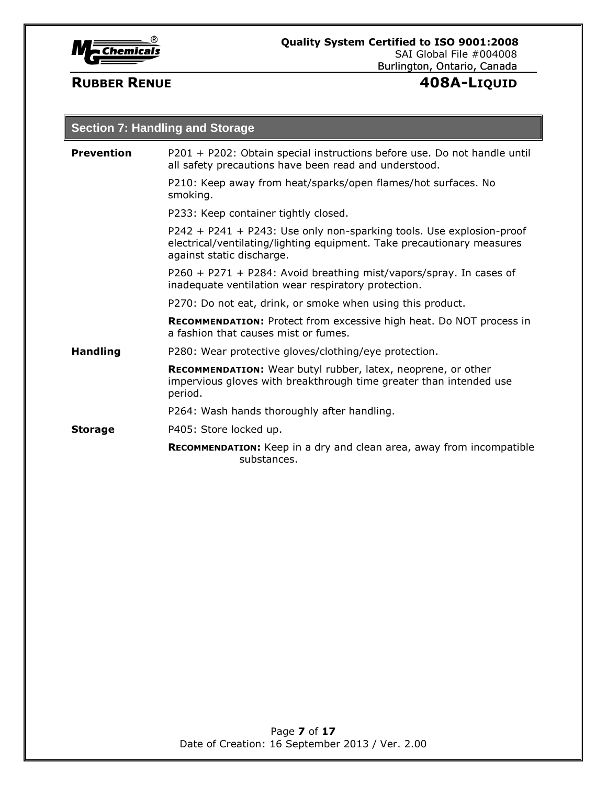

| <b>Section 7: Handling and Storage</b> |                                                                                                                                                                             |  |  |
|----------------------------------------|-----------------------------------------------------------------------------------------------------------------------------------------------------------------------------|--|--|
| <b>Prevention</b>                      | P201 + P202: Obtain special instructions before use. Do not handle until<br>all safety precautions have been read and understood.                                           |  |  |
|                                        | P210: Keep away from heat/sparks/open flames/hot surfaces. No<br>smoking.                                                                                                   |  |  |
|                                        | P233: Keep container tightly closed.                                                                                                                                        |  |  |
|                                        | P242 + P241 + P243: Use only non-sparking tools. Use explosion-proof<br>electrical/ventilating/lighting equipment. Take precautionary measures<br>against static discharge. |  |  |
|                                        | $P260 + P271 + P284$ : Avoid breathing mist/vapors/spray. In cases of<br>inadequate ventilation wear respiratory protection.                                                |  |  |
|                                        | P270: Do not eat, drink, or smoke when using this product.                                                                                                                  |  |  |
|                                        | <b>RECOMMENDATION:</b> Protect from excessive high heat. Do NOT process in<br>a fashion that causes mist or fumes.                                                          |  |  |
| <b>Handling</b>                        | P280: Wear protective gloves/clothing/eye protection.                                                                                                                       |  |  |
|                                        | RECOMMENDATION: Wear butyl rubber, latex, neoprene, or other<br>impervious gloves with breakthrough time greater than intended use<br>period.                               |  |  |
|                                        | P264: Wash hands thoroughly after handling.                                                                                                                                 |  |  |
| <b>Storage</b>                         | P405: Store locked up.                                                                                                                                                      |  |  |
|                                        | <b>RECOMMENDATION:</b> Keep in a dry and clean area, away from incompatible<br>substances.                                                                                  |  |  |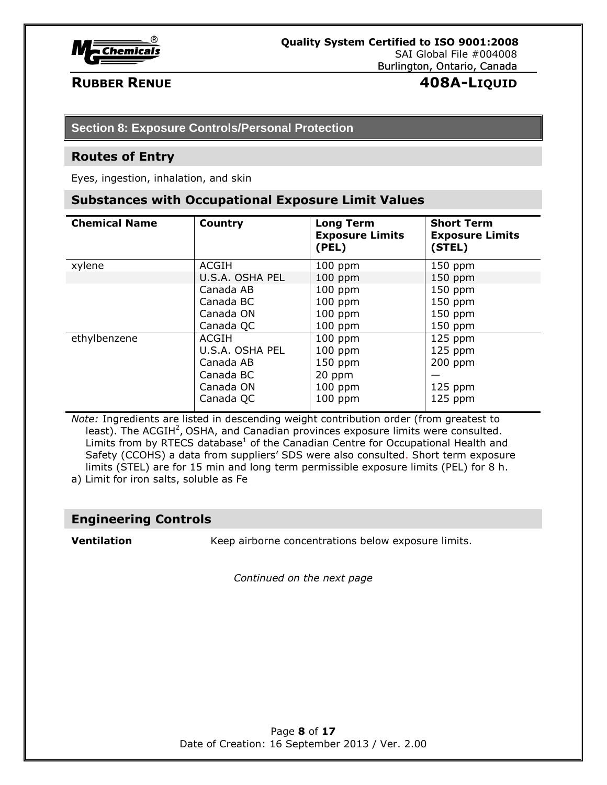

# **RUBBER RENUE 408A-LIQUID**

# **Section 8: Exposure Controls/Personal Protection**

### **Routes of Entry**

Eyes, ingestion, inhalation, and skin

### **Substances with Occupational Exposure Limit Values**

| <b>Chemical Name</b> | <b>Country</b>  | <b>Long Term</b><br><b>Exposure Limits</b><br>(PEL) | <b>Short Term</b><br><b>Exposure Limits</b><br>(STEL) |
|----------------------|-----------------|-----------------------------------------------------|-------------------------------------------------------|
| xylene               | ACGIH           | $100$ ppm                                           | $150$ ppm                                             |
|                      | U.S.A. OSHA PEL | $100$ ppm                                           | $150$ ppm                                             |
|                      | Canada AB       | $100$ ppm                                           | $150$ ppm                                             |
|                      | Canada BC       | $100$ ppm                                           | $150$ ppm                                             |
|                      | Canada ON       | $100$ ppm                                           | $150$ ppm                                             |
|                      | Canada QC       | $100$ ppm                                           | $150$ ppm                                             |
| ethylbenzene         | ACGIH           | $100$ ppm                                           | $125$ ppm                                             |
|                      | U.S.A. OSHA PEL | $100$ ppm                                           | $125$ ppm                                             |
|                      | Canada AB       | $150$ ppm                                           | $200$ ppm                                             |
|                      | Canada BC       | 20 ppm                                              |                                                       |
|                      | Canada ON       | $100$ ppm                                           | $125$ ppm                                             |
|                      | Canada QC       | $100$ ppm                                           | $125$ ppm                                             |

*Note:* Ingredients are listed in descending weight contribution order (from greatest to least). The ACGIH<sup>2</sup>, OSHA, and Canadian provinces exposure limits were consulted. Limits from by RTECS database<sup>1</sup> of the Canadian Centre for Occupational Health and Safety (CCOHS) a data from suppliers' SDS were also consulted. Short term exposure limits (STEL) are for 15 min and long term permissible exposure limits (PEL) for 8 h. a) Limit for iron salts, soluble as Fe

# **Engineering Controls**

**Ventilation** Keep airborne concentrations below exposure limits.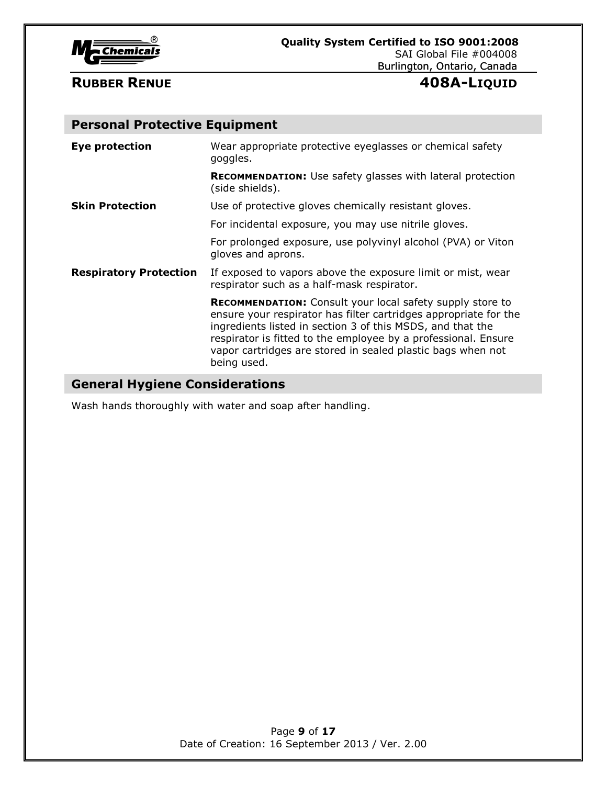

# **Personal Protective Equipment**

| <b>Eye protection</b>         | Wear appropriate protective eyeglasses or chemical safety<br>goggles.                                                                                                                                                                                                                                                                       |
|-------------------------------|---------------------------------------------------------------------------------------------------------------------------------------------------------------------------------------------------------------------------------------------------------------------------------------------------------------------------------------------|
|                               | <b>RECOMMENDATION:</b> Use safety glasses with lateral protection<br>(side shields).                                                                                                                                                                                                                                                        |
| <b>Skin Protection</b>        | Use of protective gloves chemically resistant gloves.                                                                                                                                                                                                                                                                                       |
|                               | For incidental exposure, you may use nitrile gloves.                                                                                                                                                                                                                                                                                        |
|                               | For prolonged exposure, use polyvinyl alcohol (PVA) or Viton<br>gloves and aprons.                                                                                                                                                                                                                                                          |
| <b>Respiratory Protection</b> | If exposed to vapors above the exposure limit or mist, wear<br>respirator such as a half-mask respirator.                                                                                                                                                                                                                                   |
|                               | RECOMMENDATION: Consult your local safety supply store to<br>ensure your respirator has filter cartridges appropriate for the<br>ingredients listed in section 3 of this MSDS, and that the<br>respirator is fitted to the employee by a professional. Ensure<br>vapor cartridges are stored in sealed plastic bags when not<br>being used. |

# **General Hygiene Considerations**

Wash hands thoroughly with water and soap after handling.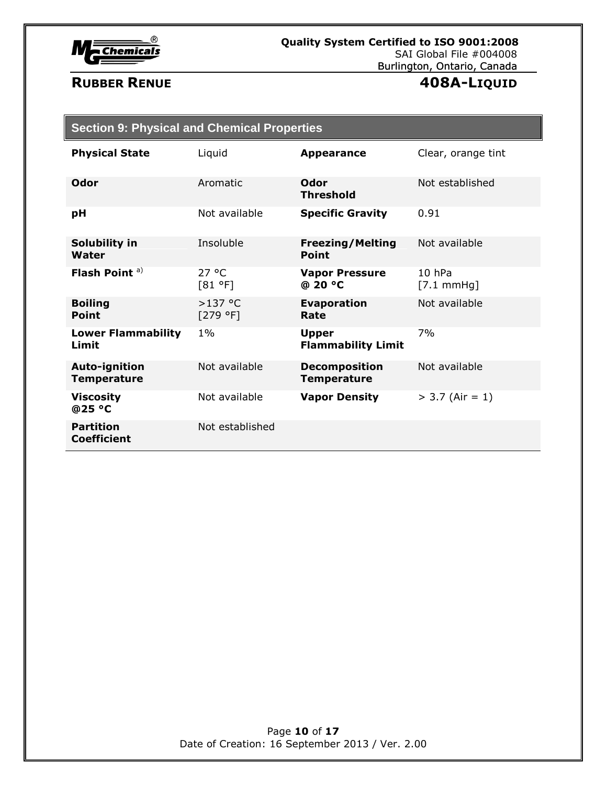

| <b>Section 9: Physical and Chemical Properties</b> |                       |                                            |                                |
|----------------------------------------------------|-----------------------|--------------------------------------------|--------------------------------|
| <b>Physical State</b>                              | Liquid                | <b>Appearance</b>                          | Clear, orange tint             |
| Odor                                               | Aromatic              | Odor<br><b>Threshold</b>                   | Not established                |
| рH                                                 | Not available         | <b>Specific Gravity</b>                    | 0.91                           |
| Solubility in<br>Water                             | Insoluble             | <b>Freezing/Melting</b><br><b>Point</b>    | Not available                  |
| Flash Point <sup>a)</sup>                          | 27 °C<br>[81 °F]      | <b>Vapor Pressure</b><br>@ 20 °C           | 10 hPa<br>$[7.1 \text{ mmHg}]$ |
| <b>Boiling</b><br>Point                            | $>137$ °C<br>[279 °F] | <b>Evaporation</b><br>Rate                 | Not available                  |
| <b>Lower Flammability</b><br>Limit                 | $1\%$                 | <b>Upper</b><br><b>Flammability Limit</b>  | 7%                             |
| <b>Auto-ignition</b><br><b>Temperature</b>         | Not available         | <b>Decomposition</b><br><b>Temperature</b> | Not available                  |
| <b>Viscosity</b><br>@25 °C                         | Not available         | <b>Vapor Density</b>                       | $> 3.7$ (Air = 1)              |
| <b>Partition</b><br><b>Coefficient</b>             | Not established       |                                            |                                |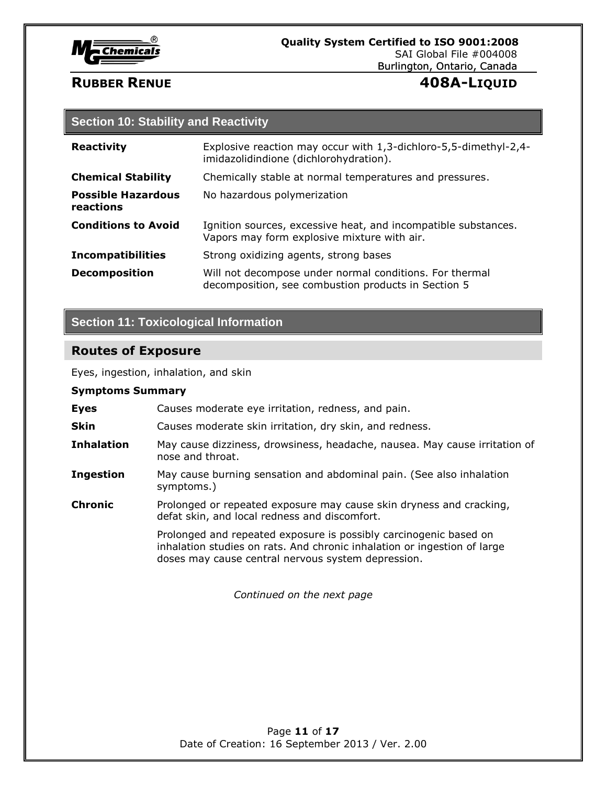

# **Section 10: Stability and Reactivity**

| <b>Reactivity</b>                      | Explosive reaction may occur with 1,3-dichloro-5,5-dimethyl-2,4-<br>imidazolidindione (dichlorohydration).     |
|----------------------------------------|----------------------------------------------------------------------------------------------------------------|
| <b>Chemical Stability</b>              | Chemically stable at normal temperatures and pressures.                                                        |
| <b>Possible Hazardous</b><br>reactions | No hazardous polymerization                                                                                    |
| <b>Conditions to Avoid</b>             | Ignition sources, excessive heat, and incompatible substances.<br>Vapors may form explosive mixture with air.  |
| <b>Incompatibilities</b>               | Strong oxidizing agents, strong bases                                                                          |
| <b>Decomposition</b>                   | Will not decompose under normal conditions. For thermal<br>decomposition, see combustion products in Section 5 |

# **Section 11: Toxicological Information**

# **Routes of Exposure**

Eyes, ingestion, inhalation, and skin

# **Symptoms Summary**

| <b>Eyes</b>       | Causes moderate eye irritation, redness, and pain.                                                                                                                                                  |
|-------------------|-----------------------------------------------------------------------------------------------------------------------------------------------------------------------------------------------------|
| <b>Skin</b>       | Causes moderate skin irritation, dry skin, and redness.                                                                                                                                             |
| <b>Inhalation</b> | May cause dizziness, drowsiness, headache, nausea. May cause irritation of<br>nose and throat.                                                                                                      |
| <b>Ingestion</b>  | May cause burning sensation and abdominal pain. (See also inhalation<br>symptoms.)                                                                                                                  |
| <b>Chronic</b>    | Prolonged or repeated exposure may cause skin dryness and cracking,<br>defat skin, and local redness and discomfort.                                                                                |
|                   | Prolonged and repeated exposure is possibly carcinogenic based on<br>inhalation studies on rats. And chronic inhalation or ingestion of large<br>doses may cause central nervous system depression. |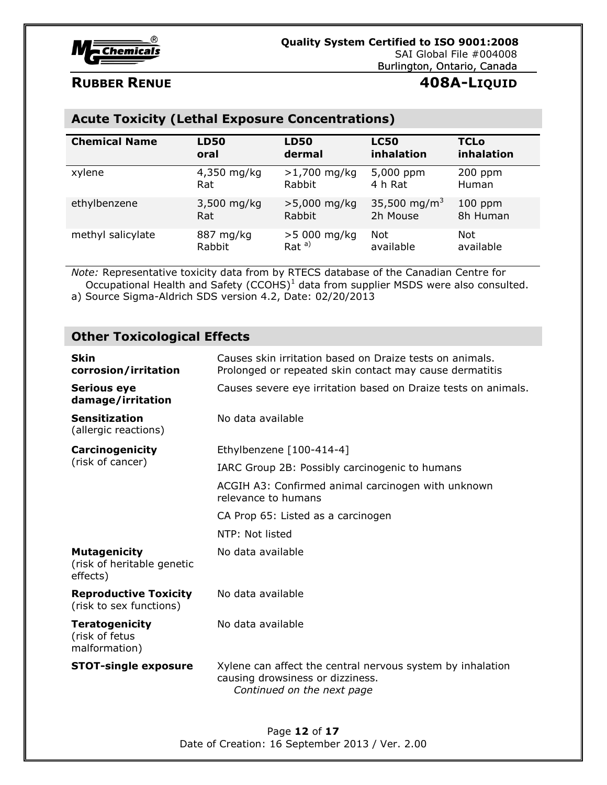

# **Acute Toxicity (Lethal Exposure Concentrations)**

| <b>Chemical Name</b> | <b>LD50</b> | <b>LD50</b>    | <b>LC50</b>              | <b>TCLo</b>  |
|----------------------|-------------|----------------|--------------------------|--------------|
|                      | oral        | dermal         | inhalation               | inhalation   |
| xylene               | 4,350 mg/kg | $>1,700$ mg/kg | 5,000 ppm                | $200$ ppm    |
|                      | Rat         | Rabbit         | 4 h Rat                  | <b>Human</b> |
| ethylbenzene         | 3,500 mg/kg | $>5,000$ mg/kg | 35,500 mg/m <sup>3</sup> | $100$ ppm    |
|                      | Rat         | Rabbit         | 2h Mouse                 | 8h Human     |
| methyl salicylate    | 887 mg/kg   | $>5000$ mg/kg  | Not                      | Not          |
|                      | Rabbit      | $Rat^{a)}$     | available                | available    |

*Note:* Representative toxicity data from by RTECS database of the Canadian Centre for Occupational Health and Safety  $(CCOHS)^1$  data from supplier MSDS were also consulted.

a) Source Sigma-Aldrich SDS version 4.2, Date: 02/20/2013

# **Other Toxicological Effects**

| <b>Skin</b><br>corrosion/irritation                           | Causes skin irritation based on Draize tests on animals.<br>Prolonged or repeated skin contact may cause dermatitis          |  |
|---------------------------------------------------------------|------------------------------------------------------------------------------------------------------------------------------|--|
| <b>Serious eye</b><br>damage/irritation                       | Causes severe eye irritation based on Draize tests on animals.                                                               |  |
| <b>Sensitization</b><br>(allergic reactions)                  | No data available                                                                                                            |  |
| <b>Carcinogenicity</b>                                        | Ethylbenzene [100-414-4]                                                                                                     |  |
| (risk of cancer)                                              | IARC Group 2B: Possibly carcinogenic to humans                                                                               |  |
|                                                               | ACGIH A3: Confirmed animal carcinogen with unknown<br>relevance to humans                                                    |  |
|                                                               | CA Prop 65: Listed as a carcinogen                                                                                           |  |
|                                                               | NTP: Not listed                                                                                                              |  |
| <b>Mutagenicity</b><br>(risk of heritable genetic<br>effects) | No data available                                                                                                            |  |
| <b>Reproductive Toxicity</b><br>(risk to sex functions)       | No data available                                                                                                            |  |
| <b>Teratogenicity</b><br>(risk of fetus<br>malformation)      | No data available                                                                                                            |  |
| <b>STOT-single exposure</b>                                   | Xylene can affect the central nervous system by inhalation<br>causing drowsiness or dizziness.<br>Continued on the next page |  |

Page **12** of **17** Date of Creation: 16 September 2013 / Ver. 2.00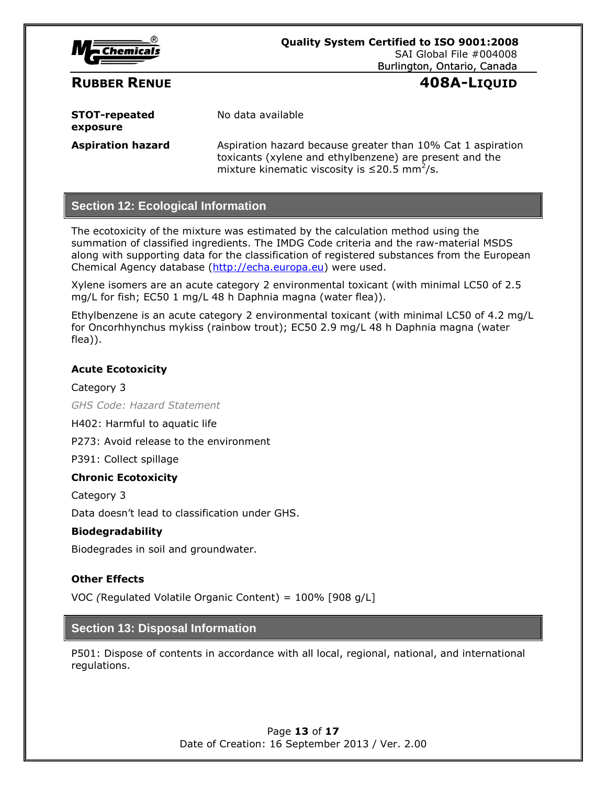

**STOT-repeated exposure** No data available **Aspiration hazard** Aspiration hazard because greater than 10% Cat 1 aspiration

toxicants (xylene and ethylbenzene) are present and the mixture kinematic viscosity is  $\leq$ 20.5 mm<sup>2</sup>/s.

# **Section 12: Ecological Information**

The ecotoxicity of the mixture was estimated by the calculation method using the summation of classified ingredients. The IMDG Code criteria and the raw-material MSDS along with supporting data for the classification of registered substances from the European Chemical Agency database [\(http://echa.europa.eu\)](http://echa.europa.eu/) were used.

Xylene isomers are an acute category 2 environmental toxicant (with minimal LC50 of 2.5 mg/L for fish; EC50 1 mg/L 48 h Daphnia magna (water flea)).

Ethylbenzene is an acute category 2 environmental toxicant (with minimal LC50 of 4.2 mg/L for Oncorhhynchus mykiss (rainbow trout); EC50 2.9 mg/L 48 h Daphnia magna (water flea)).

### **Acute Ecotoxicity**

Category 3 *GHS Code: Hazard Statement*

H402: Harmful to aquatic life

P273: Avoid release to the environment

P391: Collect spillage

### **Chronic Ecotoxicity**

Category 3

Data doesn't lead to classification under GHS.

### **Biodegradability**

Biodegrades in soil and groundwater.

# **Other Effects**

VOC *(*Regulated Volatile Organic Content) = 100% [908 g/L]

# **Section 13: Disposal Information**

P501: Dispose of contents in accordance with all local, regional, national, and international regulations.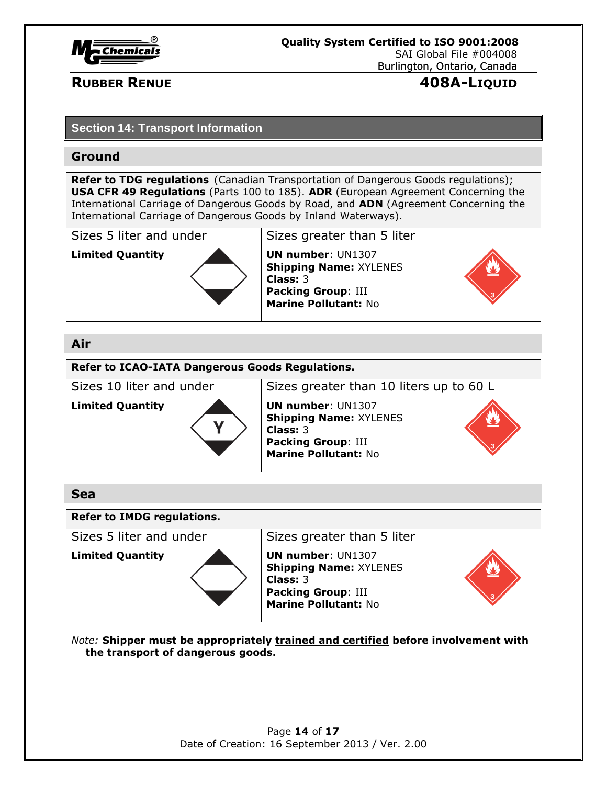

# **RUBBER RENUE 408A-LIQUID**

# **Section 14: Transport Information**

# **Ground**

**Refer to TDG regulations** (Canadian Transportation of Dangerous Goods regulations); **USA CFR 49 Regulations** (Parts 100 to 185). **ADR** (European Agreement Concerning the International Carriage of Dangerous Goods by Road, and **ADN** (Agreement Concerning the International Carriage of Dangerous Goods by Inland Waterways).

Sizes 5 liter and under Sizes greater than 5 liter



**Limited Quantity Limited Quantity UN number:** UN1307 **Shipping Name:** XYLENES **Class:** 3 **Packing Group**: III **Marine Pollutant:** No



# **Air**

**Refer to ICAO-IATA Dangerous Goods Regulations.**

Sizes 10 liter and under Sizes greater than 10 liters up to 60 L



**Shipping Name:** XYLENES **Class:** 3 **Packing Group**: III **Marine Pollutant:** No



# **Sea**

# **Refer to IMDG regulations.**

Sizes 5 liter and under Sizes greater than 5 liter



**Limited Quantity UN number: UN1307 Shipping Name:** XYLENES **Class:** 3 **Packing Group**: III **Marine Pollutant:** No



*Note:* **Shipper must be appropriately trained and certified before involvement with the transport of dangerous goods.**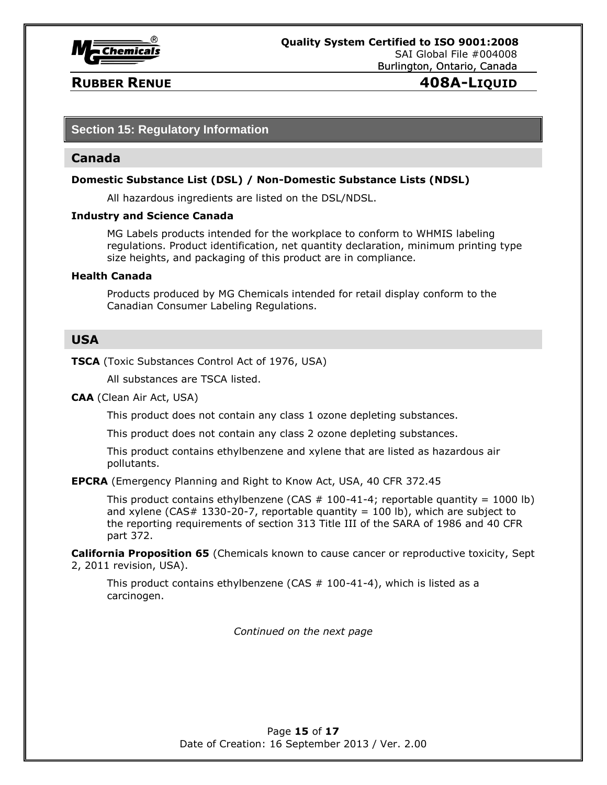

# **Section 15: Regulatory Information**

### **Canada**

### **Domestic Substance List (DSL) / Non-Domestic Substance Lists (NDSL)**

All hazardous ingredients are listed on the DSL/NDSL.

### **Industry and Science Canada**

MG Labels products intended for the workplace to conform to WHMIS labeling regulations. Product identification, net quantity declaration, minimum printing type size heights, and packaging of this product are in compliance.

### **Health Canada**

Products produced by MG Chemicals intended for retail display conform to the Canadian Consumer Labeling Regulations.

# **USA**

**TSCA** (Toxic Substances Control Act of 1976, USA)

All substances are TSCA listed.

**CAA** (Clean Air Act, USA)

This product does not contain any class 1 ozone depleting substances.

This product does not contain any class 2 ozone depleting substances.

This product contains ethylbenzene and xylene that are listed as hazardous air pollutants.

**EPCRA** (Emergency Planning and Right to Know Act, USA, 40 CFR 372.45

This product contains ethylbenzene (CAS  $#$  100-41-4; reportable quantity = 1000 lb) and xylene (CAS# 1330-20-7, reportable quantity = 100 lb), which are subject to the reporting requirements of section 313 Title III of the SARA of 1986 and 40 CFR part 372.

**California Proposition 65** (Chemicals known to cause cancer or reproductive toxicity, Sept 2, 2011 revision, USA).

This product contains ethylbenzene (CAS  $# 100-41-4$ ), which is listed as a carcinogen.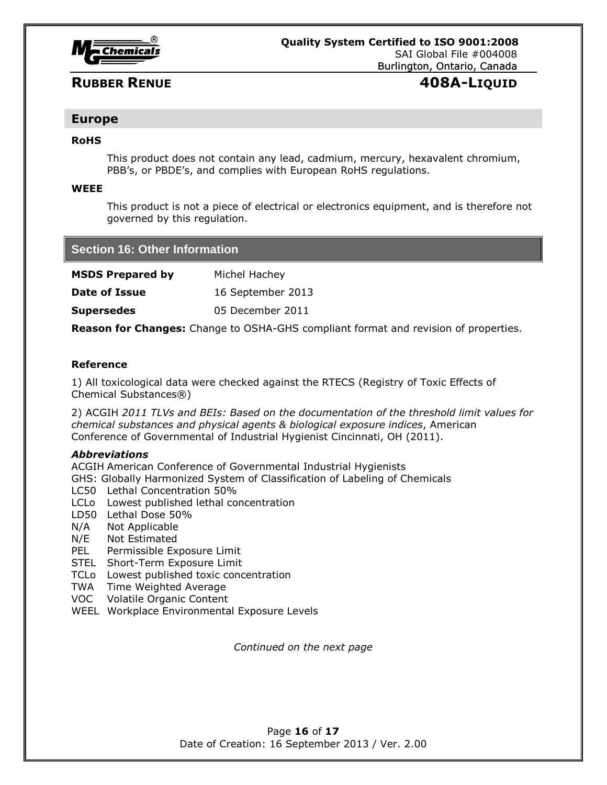

# **Europe**

### **RoHS**

This product does not contain any lead, cadmium, mercury, hexavalent chromium, PBB's, or PBDE's, and complies with European RoHS regulations.

### **WEEE**

This product is not a piece of electrical or electronics equipment, and is therefore not governed by this regulation.

| <b>Section 16: Other Information</b> |                   |  |
|--------------------------------------|-------------------|--|
| <b>MSDS Prepared by</b>              | Michel Hachey     |  |
| <b>Date of Issue</b>                 | 16 September 2013 |  |
| <b>Supersedes</b>                    | 05 December 2011  |  |
|                                      |                   |  |

**Reason for Changes:** Change to OSHA-GHS compliant format and revision of properties.

### **Reference**

1) All toxicological data were checked against the RTECS (Registry of Toxic Effects of Chemical Substances®)

2) ACGIH *2011 TLVs and BEIs: Based on the documentation of the threshold limit values for chemical substances and physical agents & biological exposure indices*, American Conference of Governmental of Industrial Hygienist Cincinnati, OH (2011).

### *Abbreviations*

ACGIH American Conference of Governmental Industrial Hygienists

GHS: Globally Harmonized System of Classification of Labeling of Chemicals

- LC50 Lethal Concentration 50%
- LCLo Lowest published lethal concentration
- LD50 Lethal Dose 50%
- N/A Not Applicable
- N/E Not Estimated
- PEL Permissible Exposure Limit
- STEL Short-Term Exposure Limit
- TCLo Lowest published toxic concentration
- TWA Time Weighted Average
- VOC Volatile Organic Content
- WEEL Workplace Environmental Exposure Levels